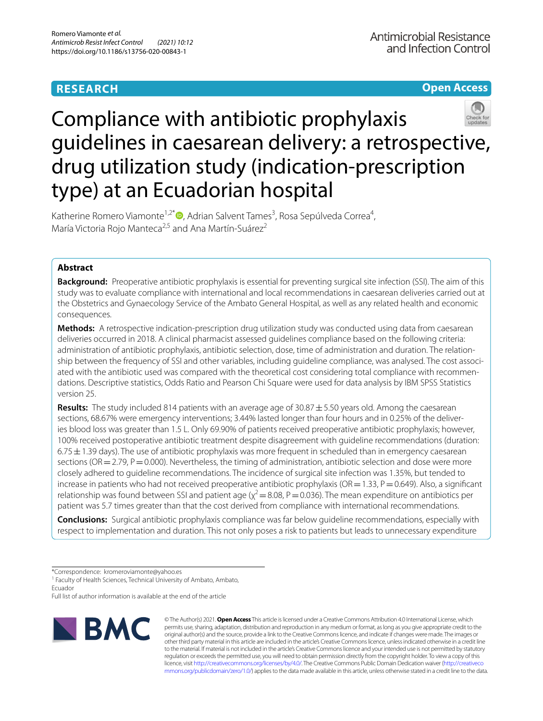# **RESEARCH**

# **Open Access**



# Compliance with antibiotic prophylaxis guidelines in caesarean delivery: a retrospective, drug utilization study (indication-prescription type) at an Ecuadorian hospital

Katherine Romero Viamonte<sup>1,2\*</sup><sup>®</sup>[,](http://orcid.org/0000-0002-7960-6122) Adrian Salvent Tames<sup>3</sup>, Rosa Sepúlveda Correa<sup>4</sup>, María Victoria Rojo Manteca<sup>2,5</sup> and Ana Martín-Suárez<sup>2</sup>

# **Abstract**

**Background:** Preoperative antibiotic prophylaxis is essential for preventing surgical site infection (SSI). The aim of this study was to evaluate compliance with international and local recommendations in caesarean deliveries carried out at the Obstetrics and Gynaecology Service of the Ambato General Hospital, as well as any related health and economic consequences.

**Methods:** A retrospective indication-prescription drug utilization study was conducted using data from caesarean deliveries occurred in 2018. A clinical pharmacist assessed guidelines compliance based on the following criteria: administration of antibiotic prophylaxis, antibiotic selection, dose, time of administration and duration. The relationship between the frequency of SSI and other variables, including guideline compliance, was analysed. The cost associated with the antibiotic used was compared with the theoretical cost considering total compliance with recommendations. Descriptive statistics, Odds Ratio and Pearson Chi Square were used for data analysis by IBM SPSS Statistics version 25.

**Results:** The study included 814 patients with an average age of 30.87 ± 5.50 years old. Among the caesarean sections, 68.67% were emergency interventions; 3.44% lasted longer than four hours and in 0.25% of the deliveries blood loss was greater than 1.5 L. Only 69.90% of patients received preoperative antibiotic prophylaxis; however, 100% received postoperative antibiotic treatment despite disagreement with guideline recommendations (duration:  $6.75\pm1.39$  days). The use of antibiotic prophylaxis was more frequent in scheduled than in emergency caesarean sections (OR=2.79, P=0.000). Nevertheless, the timing of administration, antibiotic selection and dose were more closely adhered to guideline recommendations. The incidence of surgical site infection was 1.35%, but tended to increase in patients who had not received preoperative antibiotic prophylaxis (OR=1.33, P=0.649). Also, a significant relationship was found between SSI and patient age ( $\chi^2$  = 8.08, P = 0.036). The mean expenditure on antibiotics per patient was 5.7 times greater than that the cost derived from compliance with international recommendations.

**Conclusions:** Surgical antibiotic prophylaxis compliance was far below guideline recommendations, especially with respect to implementation and duration. This not only poses a risk to patients but leads to unnecessary expenditure

\*Correspondence: kromeroviamonte@yahoo.es

<sup>1</sup> Faculty of Health Sciences, Technical University of Ambato, Ambato, Ecuador

Full list of author information is available at the end of the article



© The Author(s) 2021. **Open Access** This article is licensed under a Creative Commons Attribution 4.0 International License, which permits use, sharing, adaptation, distribution and reproduction in any medium or format, as long as you give appropriate credit to the original author(s) and the source, provide a link to the Creative Commons licence, and indicate if changes were made. The images or other third party material in this article are included in the article's Creative Commons licence, unless indicated otherwise in a credit line to the material. If material is not included in the article's Creative Commons licence and your intended use is not permitted by statutory regulation or exceeds the permitted use, you will need to obtain permission directly from the copyright holder. To view a copy of this licence, visit [http://creativecommons.org/licenses/by/4.0/.](http://creativecommons.org/licenses/by/4.0/) The Creative Commons Public Domain Dedication waiver ([http://creativeco](http://creativecommons.org/publicdomain/zero/1.0/) [mmons.org/publicdomain/zero/1.0/](http://creativecommons.org/publicdomain/zero/1.0/)) applies to the data made available in this article, unless otherwise stated in a credit line to the data.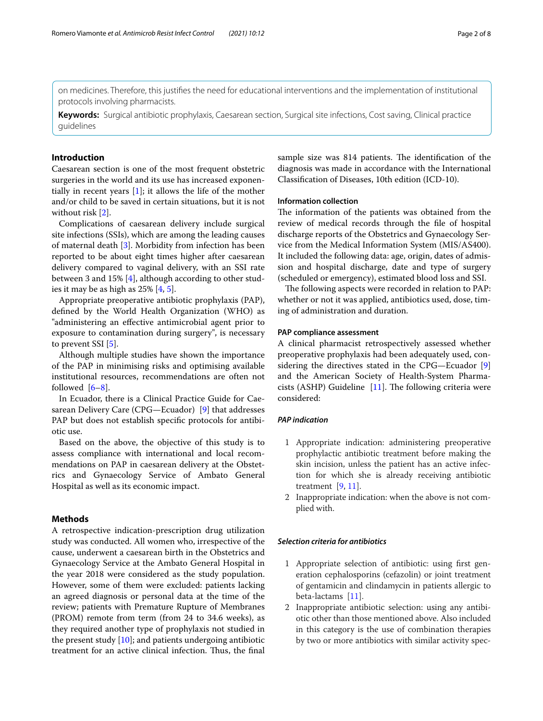on medicines. Therefore, this justifes the need for educational interventions and the implementation of institutional protocols involving pharmacists.

**Keywords:** Surgical antibiotic prophylaxis, Caesarean section, Surgical site infections, Cost saving, Clinical practice guidelines

# **Introduction**

Caesarean section is one of the most frequent obstetric surgeries in the world and its use has increased exponentially in recent years [\[1](#page-6-0)]; it allows the life of the mother and/or child to be saved in certain situations, but it is not without risk [[2\]](#page-6-1).

Complications of caesarean delivery include surgical site infections (SSIs), which are among the leading causes of maternal death [\[3](#page-6-2)]. Morbidity from infection has been reported to be about eight times higher after caesarean delivery compared to vaginal delivery, with an SSI rate between 3 and 15% [[4\]](#page-6-3), although according to other studies it may be as high as 25% [[4](#page-6-3), [5\]](#page-6-4).

Appropriate preoperative antibiotic prophylaxis (PAP), defned by the World Health Organization (WHO) as "administering an efective antimicrobial agent prior to exposure to contamination during surgery", is necessary to prevent SSI [[5\]](#page-6-4).

Although multiple studies have shown the importance of the PAP in minimising risks and optimising available institutional resources, recommendations are often not followed  $[6-8]$  $[6-8]$  $[6-8]$ .

In Ecuador, there is a Clinical Practice Guide for Caesarean Delivery Care (CPG—Ecuador) [\[9\]](#page-6-7) that addresses PAP but does not establish specifc protocols for antibiotic use.

Based on the above, the objective of this study is to assess compliance with international and local recommendations on PAP in caesarean delivery at the Obstetrics and Gynaecology Service of Ambato General Hospital as well as its economic impact.

# **Methods**

A retrospective indication-prescription drug utilization study was conducted. All women who, irrespective of the cause, underwent a caesarean birth in the Obstetrics and Gynaecology Service at the Ambato General Hospital in the year 2018 were considered as the study population. However, some of them were excluded: patients lacking an agreed diagnosis or personal data at the time of the review; patients with Premature Rupture of Membranes (PROM) remote from term (from 24 to 34.6 weeks), as they required another type of prophylaxis not studied in the present study [\[10](#page-6-8)]; and patients undergoing antibiotic treatment for an active clinical infection. Thus, the final sample size was 814 patients. The identification of the diagnosis was made in accordance with the International Classifcation of Diseases, 10th edition (ICD-10).

## **Information collection**

The information of the patients was obtained from the review of medical records through the fle of hospital discharge reports of the Obstetrics and Gynaecology Service from the Medical Information System (MIS/AS400). It included the following data: age, origin, dates of admission and hospital discharge, date and type of surgery (scheduled or emergency), estimated blood loss and SSI.

The following aspects were recorded in relation to PAP: whether or not it was applied, antibiotics used, dose, timing of administration and duration.

### **PAP compliance assessment**

A clinical pharmacist retrospectively assessed whether preoperative prophylaxis had been adequately used, considering the directives stated in the CPG—Ecuador [\[9](#page-6-7)] and the American Society of Health-System Pharmacists (ASHP) Guideline  $[11]$  $[11]$ . The following criteria were considered:

### *PAP indication*

- 1 Appropriate indication: administering preoperative prophylactic antibiotic treatment before making the skin incision, unless the patient has an active infection for which she is already receiving antibiotic treatment  $[9, 11]$  $[9, 11]$  $[9, 11]$  $[9, 11]$ .
- 2 Inappropriate indication: when the above is not complied with.

## *Selection criteria for antibiotics*

- 1 Appropriate selection of antibiotic: using frst generation cephalosporins (cefazolin) or joint treatment of gentamicin and clindamycin in patients allergic to beta-lactams [\[11\]](#page-6-9).
- 2 Inappropriate antibiotic selection: using any antibiotic other than those mentioned above. Also included in this category is the use of combination therapies by two or more antibiotics with similar activity spec-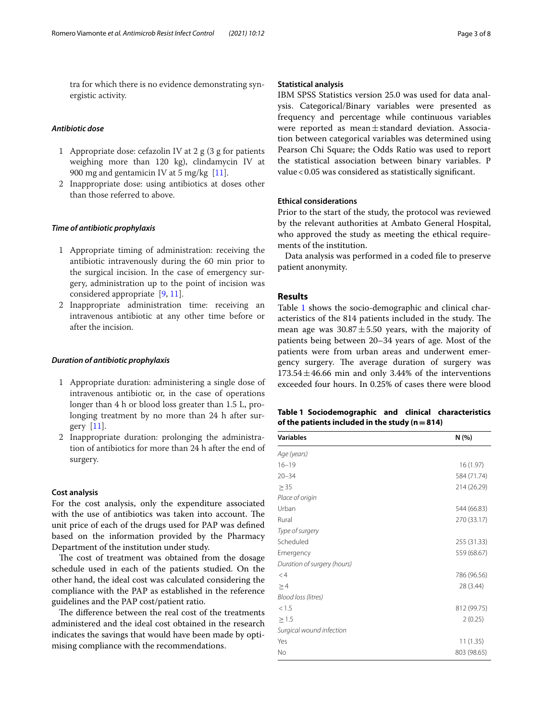tra for which there is no evidence demonstrating synergistic activity.

# *Antibiotic dose*

- 1 Appropriate dose: cefazolin IV at 2 g (3 g for patients weighing more than 120 kg), clindamycin IV at 900 mg and gentamicin IV at 5 mg/kg [[11\]](#page-6-9).
- 2 Inappropriate dose: using antibiotics at doses other than those referred to above.

# *Time of antibiotic prophylaxis*

- 1 Appropriate timing of administration: receiving the antibiotic intravenously during the 60 min prior to the surgical incision. In the case of emergency surgery, administration up to the point of incision was considered appropriate [\[9](#page-6-7), [11](#page-6-9)].
- 2 Inappropriate administration time: receiving an intravenous antibiotic at any other time before or after the incision.

#### *Duration of antibiotic prophylaxis*

- 1 Appropriate duration: administering a single dose of intravenous antibiotic or, in the case of operations longer than 4 h or blood loss greater than 1.5 L, prolonging treatment by no more than 24 h after surgery [[11](#page-6-9)].
- 2 Inappropriate duration: prolonging the administration of antibiotics for more than 24 h after the end of surgery.

#### **Cost analysis**

For the cost analysis, only the expenditure associated with the use of antibiotics was taken into account. The unit price of each of the drugs used for PAP was defned based on the information provided by the Pharmacy Department of the institution under study.

The cost of treatment was obtained from the dosage schedule used in each of the patients studied. On the other hand, the ideal cost was calculated considering the compliance with the PAP as established in the reference guidelines and the PAP cost/patient ratio.

The difference between the real cost of the treatments administered and the ideal cost obtained in the research indicates the savings that would have been made by optimising compliance with the recommendations.

# **Statistical analysis**

IBM SPSS Statistics version 25.0 was used for data analysis. Categorical/Binary variables were presented as frequency and percentage while continuous variables were reported as mean±standard deviation. Association between categorical variables was determined using Pearson Chi Square; the Odds Ratio was used to report the statistical association between binary variables. P value<0.05 was considered as statistically signifcant.

#### **Ethical considerations**

Prior to the start of the study, the protocol was reviewed by the relevant authorities at Ambato General Hospital, who approved the study as meeting the ethical requirements of the institution.

Data analysis was performed in a coded fle to preserve patient anonymity.

# **Results**

Table [1](#page-2-0) shows the socio-demographic and clinical characteristics of the 814 patients included in the study. The mean age was  $30.87 \pm 5.50$  years, with the majority of patients being between 20–34 years of age. Most of the patients were from urban areas and underwent emergency surgery. The average duration of surgery was  $173.54 \pm 46.66$  min and only 3.44% of the interventions exceeded four hours. In 0.25% of cases there were blood

<span id="page-2-0"></span>

|                                                     | Table 1 Sociodemographic and clinical characteristics |  |  |  |  |  |
|-----------------------------------------------------|-------------------------------------------------------|--|--|--|--|--|
| of the patients included in the study ( $n = 814$ ) |                                                       |  |  |  |  |  |

| <b>Variables</b>            | N(% )       |  |  |
|-----------------------------|-------------|--|--|
| Age (years)                 |             |  |  |
| $16 - 19$                   | 16 (1.97)   |  |  |
| $20 - 34$                   | 584 (71.74) |  |  |
| $\geq$ 35                   | 214 (26.29) |  |  |
| Place of origin             |             |  |  |
| Urban                       | 544 (66.83) |  |  |
| Rural                       | 270 (33.17) |  |  |
| Type of surgery             |             |  |  |
| Scheduled                   | 255 (31.33) |  |  |
| Emergency                   | 559 (68.67) |  |  |
| Duration of surgery (hours) |             |  |  |
| $<$ 4                       | 786 (96.56) |  |  |
| $\geq$ 4                    | 28 (3.44)   |  |  |
| Blood loss (litres)         |             |  |  |
| < 1.5                       | 812 (99.75) |  |  |
| $\geq$ 1.5                  | 2(0.25)     |  |  |
| Surgical wound infection    |             |  |  |
| Yes                         | 11(1.35)    |  |  |
| No                          | 803 (98.65) |  |  |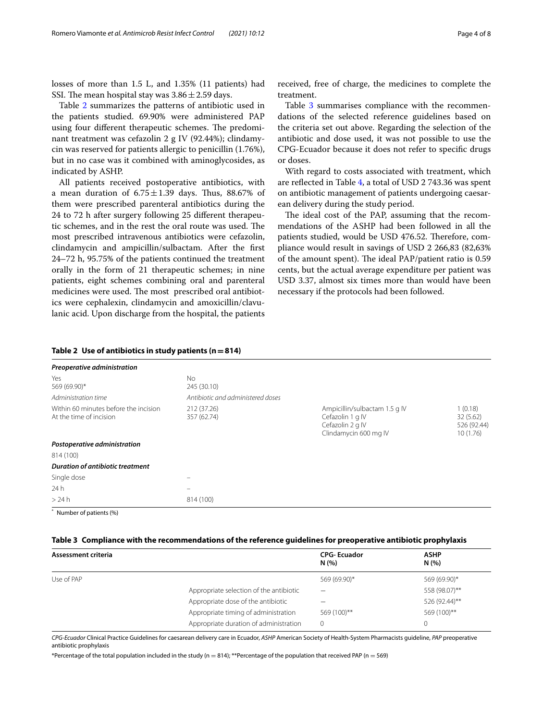losses of more than 1.5 L, and 1.35% (11 patients) had SSI. The mean hospital stay was  $3.86 \pm 2.59$  days.

Table [2](#page-3-0) summarizes the patterns of antibiotic used in the patients studied. 69.90% were administered PAP using four different therapeutic schemes. The predominant treatment was cefazolin 2 g IV (92.44%); clindamycin was reserved for patients allergic to penicillin (1.76%), but in no case was it combined with aminoglycosides, as indicated by ASHP.

All patients received postoperative antibiotics, with a mean duration of  $6.75 \pm 1.39$  days. Thus, 88.67% of them were prescribed parenteral antibiotics during the 24 to 72 h after surgery following 25 diferent therapeutic schemes, and in the rest the oral route was used. The most prescribed intravenous antibiotics were cefazolin, clindamycin and ampicillin/sulbactam. After the frst 24–72 h, 95.75% of the patients continued the treatment orally in the form of 21 therapeutic schemes; in nine patients, eight schemes combining oral and parenteral medicines were used. The most prescribed oral antibiotics were cephalexin, clindamycin and amoxicillin/clavulanic acid. Upon discharge from the hospital, the patients

received, free of charge, the medicines to complete the treatment.

Table [3](#page-3-1) summarises compliance with the recommendations of the selected reference guidelines based on the criteria set out above. Regarding the selection of the antibiotic and dose used, it was not possible to use the CPG-Ecuador because it does not refer to specifc drugs or doses.

With regard to costs associated with treatment, which are refected in Table [4,](#page-4-0) a total of USD 2 743.36 was spent on antibiotic management of patients undergoing caesarean delivery during the study period.

The ideal cost of the PAP, assuming that the recommendations of the ASHP had been followed in all the patients studied, would be USD 476.52. Therefore, compliance would result in savings of USD 2 266,83 (82,63% of the amount spent). The ideal PAP/patient ratio is 0.59 cents, but the actual average expenditure per patient was USD 3.37, almost six times more than would have been necessary if the protocols had been followed.

| Preoperative administration                                                                    |                                   |                                                                                                |                                                |  |
|------------------------------------------------------------------------------------------------|-----------------------------------|------------------------------------------------------------------------------------------------|------------------------------------------------|--|
| Yes<br>569 (69.90)*                                                                            | <b>No</b><br>245 (30.10)          |                                                                                                |                                                |  |
| Administration time                                                                            | Antibiotic and administered doses |                                                                                                |                                                |  |
| Within 60 minutes before the incision<br>212 (37.26)<br>At the time of incision<br>357 (62.74) |                                   | Ampicillin/sulbactam 1.5 g IV<br>Cefazolin 1 g IV<br>Cefazolin 2 g IV<br>Clindamycin 600 mg IV | 1(0.18)<br>32(5.62)<br>526 (92.44)<br>10(1.76) |  |
| Postoperative administration                                                                   |                                   |                                                                                                |                                                |  |
| 814 (100)                                                                                      |                                   |                                                                                                |                                                |  |
| <b>Duration of antibiotic treatment</b>                                                        |                                   |                                                                                                |                                                |  |
| Single dose                                                                                    |                                   |                                                                                                |                                                |  |
| 24h                                                                                            | -                                 |                                                                                                |                                                |  |
| >24h                                                                                           | 814 (100)                         |                                                                                                |                                                |  |

# <span id="page-3-0"></span>**Table 2 Use of antibiotics in study patients (n=814)**

Number of patients (%)

#### <span id="page-3-1"></span>**Table 3 Compliance with the recommendations of the reference guidelines for preoperative antibiotic prophylaxis**

| Assessment criteria |                                         | <b>CPG-Ecuador</b><br>N(%) | <b>ASHP</b><br>N(%) |
|---------------------|-----------------------------------------|----------------------------|---------------------|
| Use of PAP          |                                         | 569 (69.90)*               | 569 (69.90)*        |
|                     | Appropriate selection of the antibiotic |                            | 558 (98.07)**       |
|                     | Appropriate dose of the antibiotic      |                            | 526 (92.44)**       |
|                     | Appropriate timing of administration    | 569 (100)**                | 569 (100)**         |
|                     | Appropriate duration of administration  | 0                          | $\Omega$            |

*CPG-Ecuador* Clinical Practice Guidelines for caesarean delivery care in Ecuador, *ASHP* American Society of Health-System Pharmacists guideline, *PAP* preoperative antibiotic prophylaxis

\*Percentage of the total population included in the study (n = 814); \*\*Percentage of the population that received PAP (n = 569)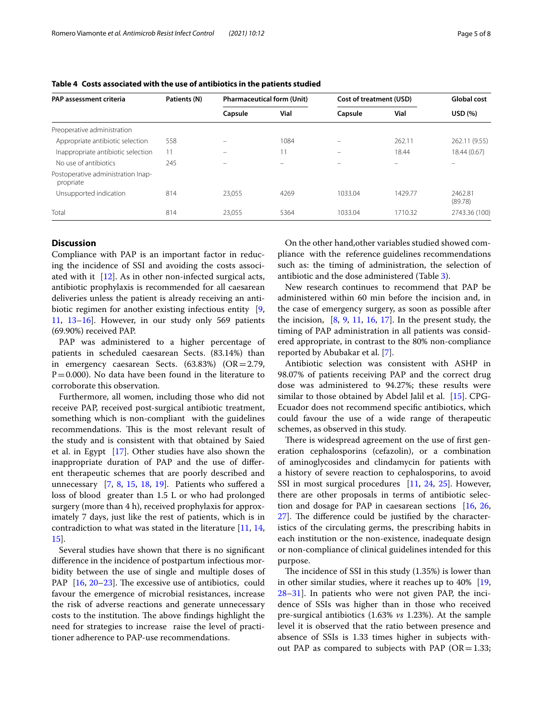| <b>PAP assessment criteria</b>                  | Patients (N) | <b>Pharmaceutical form (Unit)</b> |      | Cost of treatment (USD) |         | <b>Global cost</b> |  |
|-------------------------------------------------|--------------|-----------------------------------|------|-------------------------|---------|--------------------|--|
|                                                 |              | Capsule                           | Vial | Capsule                 | Vial    | USD (%)            |  |
| Preoperative administration                     |              |                                   |      |                         |         |                    |  |
| Appropriate antibiotic selection                | 558          |                                   | 1084 |                         | 262.11  | 262.11 (9.55)      |  |
| Inappropriate antibiotic selection              | 11           |                                   | 11   |                         | 18.44   | 18.44 (0.67)       |  |
| No use of antibiotics                           | 245          | -                                 | -    |                         |         | -                  |  |
| Postoperative administration Inap-<br>propriate |              |                                   |      |                         |         |                    |  |
| Unsupported indication                          | 814          | 23.055                            | 4269 | 1033.04                 | 1429.77 | 2462.81<br>(89.78) |  |
| Total                                           | 814          | 23.055                            | 5364 | 1033.04                 | 1710.32 | 2743.36 (100)      |  |

<span id="page-4-0"></span>**Table 4 Costs associated with the use of antibiotics in the patients studied**

# **Discussion**

Compliance with PAP is an important factor in reducing the incidence of SSI and avoiding the costs associated with it  $[12]$  $[12]$ . As in other non-infected surgical acts, antibiotic prophylaxis is recommended for all caesarean deliveries unless the patient is already receiving an antibiotic regimen for another existing infectious entity [\[9](#page-6-7), [11,](#page-6-9) [13–](#page-6-11)[16\]](#page-6-12). However, in our study only 569 patients (69.90%) received PAP.

PAP was administered to a higher percentage of patients in scheduled caesarean Sects. (83.14%) than in emergency caesarean Sects.  $(63.83%)$   $(OR = 2.79)$ ,  $P=0.000$ ). No data have been found in the literature to corroborate this observation.

Furthermore, all women, including those who did not receive PAP, received post-surgical antibiotic treatment, something which is non-compliant with the guidelines recommendations. This is the most relevant result of the study and is consistent with that obtained by Saied et al. in Egypt [\[17](#page-6-13)]. Other studies have also shown the inappropriate duration of PAP and the use of diferent therapeutic schemes that are poorly described and unnecessary  $[7, 8, 15, 18, 19]$  $[7, 8, 15, 18, 19]$  $[7, 8, 15, 18, 19]$  $[7, 8, 15, 18, 19]$  $[7, 8, 15, 18, 19]$  $[7, 8, 15, 18, 19]$  $[7, 8, 15, 18, 19]$  $[7, 8, 15, 18, 19]$  $[7, 8, 15, 18, 19]$ . Patients who suffered a loss of blood greater than 1.5 L or who had prolonged surgery (more than 4 h), received prophylaxis for approximately 7 days, just like the rest of patients, which is in contradiction to what was stated in the literature [[11,](#page-6-9) [14](#page-6-18), [15\]](#page-6-15).

Several studies have shown that there is no signifcant diference in the incidence of postpartum infectious morbidity between the use of single and multiple doses of PAP  $[16, 20-23]$  $[16, 20-23]$  $[16, 20-23]$  $[16, 20-23]$  $[16, 20-23]$ . The excessive use of antibiotics, could favour the emergence of microbial resistances, increase the risk of adverse reactions and generate unnecessary costs to the institution. The above findings highlight the need for strategies to increase raise the level of practitioner adherence to PAP-use recommendations.

On the other hand,other variables studied showed compliance with the reference guidelines recommendations such as: the timing of administration, the selection of antibiotic and the dose administered (Table [3\)](#page-3-1).

New research continues to recommend that PAP be administered within 60 min before the incision and, in the case of emergency surgery, as soon as possible after the incision,  $[8, 9, 11, 16, 17]$  $[8, 9, 11, 16, 17]$  $[8, 9, 11, 16, 17]$  $[8, 9, 11, 16, 17]$  $[8, 9, 11, 16, 17]$  $[8, 9, 11, 16, 17]$  $[8, 9, 11, 16, 17]$  $[8, 9, 11, 16, 17]$  $[8, 9, 11, 16, 17]$  $[8, 9, 11, 16, 17]$  $[8, 9, 11, 16, 17]$ . In the present study, the timing of PAP administration in all patients was considered appropriate, in contrast to the 80% non-compliance reported by Abubakar et al. [[7\]](#page-6-14).

Antibiotic selection was consistent with ASHP in 98.07% of patients receiving PAP and the correct drug dose was administered to 94.27%; these results were similar to those obtained by Abdel Jalil et al. [[15\]](#page-6-15). CPG-Ecuador does not recommend specifc antibiotics, which could favour the use of a wide range of therapeutic schemes, as observed in this study.

There is widespread agreement on the use of first generation cephalosporins (cefazolin), or a combination of aminoglycosides and clindamycin for patients with a history of severe reaction to cephalosporins, to avoid SSI in most surgical procedures [[11](#page-6-9), [24](#page-6-21), [25\]](#page-6-22). However, there are other proposals in terms of antibiotic selection and dosage for PAP in caesarean sections [[16,](#page-6-12) [26](#page-6-23),  $27$ ]. The difference could be justified by the characteristics of the circulating germs, the prescribing habits in each institution or the non-existence, inadequate design or non-compliance of clinical guidelines intended for this purpose.

The incidence of SSI in this study  $(1.35%)$  is lower than in other similar studies, where it reaches up to 40% [[19](#page-6-17), [28](#page-6-25)[–31](#page-6-26)]. In patients who were not given PAP, the incidence of SSIs was higher than in those who received pre-surgical antibiotics (1.63% *vs* 1.23%). At the sample level it is observed that the ratio between presence and absence of SSIs is 1.33 times higher in subjects without PAP as compared to subjects with PAP ( $OR = 1.33$ ;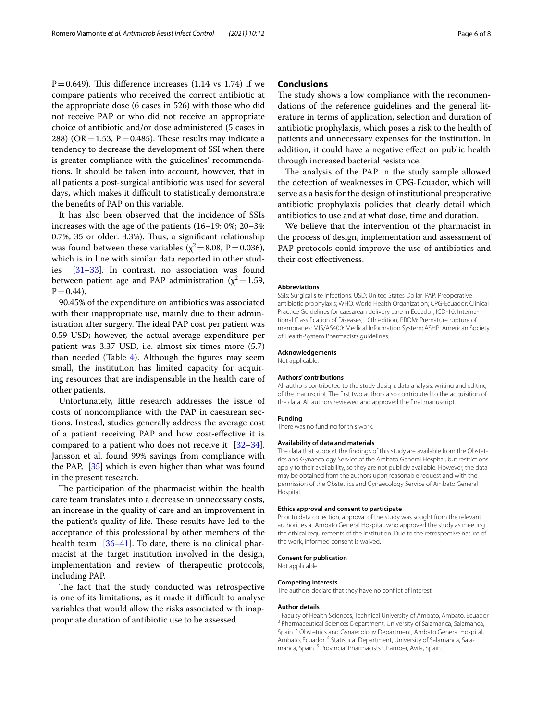$P=0.649$ ). This difference increases (1.14 vs 1.74) if we compare patients who received the correct antibiotic at the appropriate dose (6 cases in 526) with those who did not receive PAP or who did not receive an appropriate choice of antibiotic and/or dose administered (5 cases in 288) (OR = 1.53, P = 0.485). These results may indicate a tendency to decrease the development of SSI when there is greater compliance with the guidelines' recommendations. It should be taken into account, however, that in all patients a post-surgical antibiotic was used for several days, which makes it difficult to statistically demonstrate the benefts of PAP on this variable.

It has also been observed that the incidence of SSIs increases with the age of the patients (16–19: 0%; 20–34: 0.7%; 35 or older: 3.3%). Thus, a significant relationship was found between these variables ( $\chi^2$  = 8.08, P = 0.036), which is in line with similar data reported in other studies [[31–](#page-6-26)[33\]](#page-6-27). In contrast, no association was found between patient age and PAP administration ( $\chi^2$  = 1.59,  $P = 0.44$ ).

90.45% of the expenditure on antibiotics was associated with their inappropriate use, mainly due to their administration after surgery. The ideal PAP cost per patient was 0.59 USD; however, the actual average expenditure per patient was 3.37 USD, i.e. almost six times more (5.7) than needed (Table  $4$ ). Although the figures may seem small, the institution has limited capacity for acquiring resources that are indispensable in the health care of other patients.

Unfortunately, little research addresses the issue of costs of noncompliance with the PAP in caesarean sections. Instead, studies generally address the average cost of a patient receiving PAP and how cost-efective it is compared to a patient who does not receive it [[32](#page-6-28)[–34](#page-6-29)]. Jansson et al. found 99% savings from compliance with the PAP, [\[35\]](#page-6-30) which is even higher than what was found in the present research.

The participation of the pharmacist within the health care team translates into a decrease in unnecessary costs, an increase in the quality of care and an improvement in the patient's quality of life. These results have led to the acceptance of this professional by other members of the health team [[36–](#page-7-0)[41\]](#page-7-1). To date, there is no clinical pharmacist at the target institution involved in the design, implementation and review of therapeutic protocols, including PAP.

The fact that the study conducted was retrospective is one of its limitations, as it made it difficult to analyse variables that would allow the risks associated with inappropriate duration of antibiotic use to be assessed.

# **Conclusions**

The study shows a low compliance with the recommendations of the reference guidelines and the general literature in terms of application, selection and duration of antibiotic prophylaxis, which poses a risk to the health of patients and unnecessary expenses for the institution. In addition, it could have a negative efect on public health through increased bacterial resistance.

The analysis of the PAP in the study sample allowed the detection of weaknesses in CPG-Ecuador, which will serve as a basis for the design of institutional preoperative antibiotic prophylaxis policies that clearly detail which antibiotics to use and at what dose, time and duration.

We believe that the intervention of the pharmacist in the process of design, implementation and assessment of PAP protocols could improve the use of antibiotics and their cost efectiveness.

#### **Abbreviations**

SSIs: Surgical site infections; USD: United States Dollar; PAP: Preoperative antibiotic prophylaxis; WHO: World Health Organization; CPG-Ecuador: Clinical Practice Guidelines for caesarean delivery care in Ecuador; ICD-10: International Classifcation of Diseases, 10th edition; PROM: Premature rupture of membranes; MIS/AS400: Medical Information System; ASHP: American Society of Health-System Pharmacists guidelines.

#### **Acknowledgements**

Not applicable.

#### **Authors' contributions**

All authors contributed to the study design, data analysis, writing and editing of the manuscript. The frst two authors also contributed to the acquisition of the data. All authors reviewed and approved the fnal manuscript.

#### **Funding**

There was no funding for this work.

#### **Availability of data and materials**

The data that support the findings of this study are available from the Obstetrics and Gynaecology Service of the Ambato General Hospital, but restrictions apply to their availability, so they are not publicly available. However, the data may be obtained from the authors upon reasonable request and with the permission of the Obstetrics and Gynaecology Service of Ambato General Hospital.

#### **Ethics approval and consent to participate**

Prior to data collection, approval of the study was sought from the relevant authorities at Ambato General Hospital, who approved the study as meeting the ethical requirements of the institution. Due to the retrospective nature of the work, informed consent is waived.

#### **Consent for publication**

Not applicable.

#### **Competing interests**

The authors declare that they have no confict of interest.

#### **Author details**

<sup>1</sup> Faculty of Health Sciences, Technical University of Ambato, Ambato, Ecuador.<br><sup>2</sup> Pharmaceutical Sciences Department, University of Salamanca, Salamanca, Spain. <sup>3</sup> Obstetrics and Gynaecology Department, Ambato General Hospital, Ambato, Ecuador.<sup>4</sup> Statistical Department, University of Salamanca, Salamanca, Spain. 5 Provincial Pharmacists Chamber, Ávila, Spain.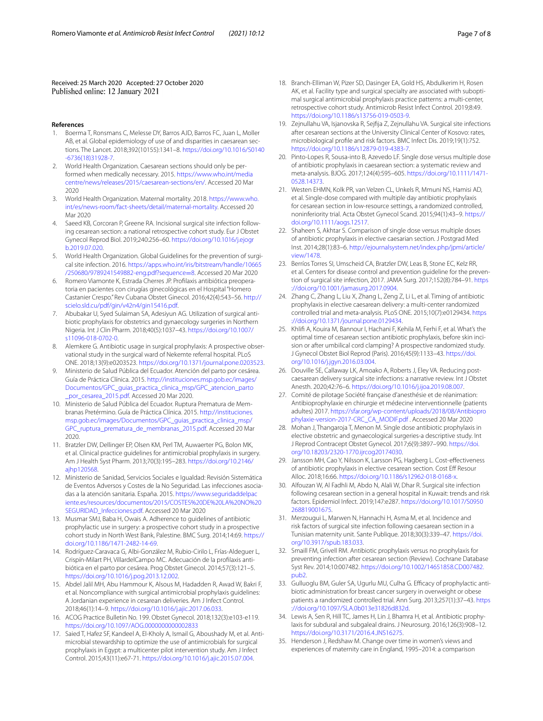Received: 25 March 2020 Accepted: 27 October 2020 Published online: 12 January 2021

#### **References**

- <span id="page-6-0"></span>1. Boerma T, Ronsmans C, Melesse DY, Barros AJD, Barros FC, Juan L, Moller AB, et al. Global epidemiology of use of and disparities in caesarean sections. The Lancet. 2018;392(10155):1341–8. [https://doi.org/10.1016/S0140](https://doi.org/10.1016/S0140-6736(18)31928-7) [-6736\(18\)31928-7](https://doi.org/10.1016/S0140-6736(18)31928-7).
- <span id="page-6-1"></span>2. World Health Organization. Caesarean sections should only be per‑ formed when medically necessary. 2015. [https://www.who.int/media](https://www.who.int/mediacentre/news/releases/2015/caesarean-sections/en/) [centre/news/releases/2015/caesarean-sections/en/.](https://www.who.int/mediacentre/news/releases/2015/caesarean-sections/en/) Accessed 20 Mar 2020
- <span id="page-6-2"></span>3. World Health Organization. Maternal mortality. 2018. [https://www.who.](https://www.who.int/es/news-room/fact-sheets/detail/maternal-mortality) [int/es/news-room/fact-sheets/detail/maternal-mortality.](https://www.who.int/es/news-room/fact-sheets/detail/maternal-mortality) Accessed 20 Mar 2020
- <span id="page-6-3"></span>Saeed KB, Corcoran P, Greene RA. Incisional surgical site infection following cesarean section: a national retrospective cohort study. Eur J Obstet Gynecol Reprod Biol. 2019;240:256–60. [https://doi.org/10.1016/j.ejogr](https://doi.org/10.1016/j.ejogrb.2019.07.020) [b.2019.07.020.](https://doi.org/10.1016/j.ejogrb.2019.07.020)
- <span id="page-6-4"></span>5. World Health Organization. Global Guidelines for the prevention of surgical site infection. 2016. [https://apps.who.int/iris/bitstream/handle/10665](https://apps.who.int/iris/bitstream/handle/10665/250680/9789241549882-eng.pdf?sequence=8) [/250680/9789241549882-eng.pdf?sequence](https://apps.who.int/iris/bitstream/handle/10665/250680/9789241549882-eng.pdf?sequence=8)=8. Accessed 20 Mar 2020
- <span id="page-6-5"></span>6. Romero Viamonte K, Estrada Cherres JP. Proflaxis antibiótica preopera‑ toria en pacientes con cirugías ginecológicas en el Hospital "Homero Castanier Crespo." Rev Cubana Obstet Ginecol. 2016;42(4):543–56. [http://](http://scielo.sld.cu/pdf/gin/v42n4/gin15416.pdf) [scielo.sld.cu/pdf/gin/v42n4/gin15416.pdf.](http://scielo.sld.cu/pdf/gin/v42n4/gin15416.pdf)
- <span id="page-6-14"></span>7. Abubakar U, Syed Sulaiman SA, Adesiyun AG. Utilization of surgical antibiotic prophylaxis for obstetrics and gynaecology surgeries in Northern Nigeria. Int J Clin Pharm. 2018;40(5):1037–43. [https://doi.org/10.1007/](https://doi.org/10.1007/s11096-018-0702-0) [s11096-018-0702-0.](https://doi.org/10.1007/s11096-018-0702-0)
- <span id="page-6-6"></span>8. Alemkere G. Antibiotic usage in surgical prophylaxis: A prospective observational study in the surgical ward of Nekemte referral hospital. PLoS ONE. 2018;13(9):e0203523. [https://doi.org/10.1371/journal.pone.0203523.](https://doi.org/10.1371/journal.pone.0203523)
- <span id="page-6-7"></span>9. Ministerio de Salud Pública del Ecuador. Atención del parto por cesárea. Guía de Práctica Clínica. 2015. [http://instituciones.msp.gob.ec/images/](http://instituciones.msp.gob.ec/images/Documentos/GPC_guias_practica_clinica_msp/GPC_atencion_parto_por_cesarea_2015.pdf) [Documentos/GPC\\_guias\\_practica\\_clinica\\_msp/GPC\\_atencion\\_parto](http://instituciones.msp.gob.ec/images/Documentos/GPC_guias_practica_clinica_msp/GPC_atencion_parto_por_cesarea_2015.pdf) [\\_por\\_cesarea\\_2015.pdf.](http://instituciones.msp.gob.ec/images/Documentos/GPC_guias_practica_clinica_msp/GPC_atencion_parto_por_cesarea_2015.pdf) Accessed 20 Mar 2020.
- <span id="page-6-8"></span>10. Ministerio de Salud Pública del Ecuador. Ruptura Prematura de Membranas Pretérmino. Guía de Práctica Clínica. 2015. [http://instituciones.](http://instituciones.msp.gob.ec/images/Documentos/GPC_guias_practica_clinica_msp/GPC_ruptura_prematura_de_membranas_2015.pdf) [msp.gob.ec/images/Documentos/GPC\\_guias\\_practica\\_clinica\\_msp/](http://instituciones.msp.gob.ec/images/Documentos/GPC_guias_practica_clinica_msp/GPC_ruptura_prematura_de_membranas_2015.pdf) [GPC\\_ruptura\\_prematura\\_de\\_membranas\\_2015.pdf](http://instituciones.msp.gob.ec/images/Documentos/GPC_guias_practica_clinica_msp/GPC_ruptura_prematura_de_membranas_2015.pdf). Accessed 20 Mar 2020.
- <span id="page-6-9"></span>11. Bratzler DW, Dellinger EP, Olsen KM, Perl TM, Auwaerter PG, Bolon MK, et al. Clinical practice guidelines for antimicrobial prophylaxis in surgery. Am J Health Syst Pharm. 2013;70(3):195–283. [https://doi.org/10.2146/](https://doi.org/10.2146/ajhp120568) [ajhp120568.](https://doi.org/10.2146/ajhp120568)
- <span id="page-6-10"></span>12. Ministerio de Sanidad, Servicios Sociales e Igualdad: Revisión Sistemática de Eventos Adversos y Costes de la No Seguridad. Las infecciones asociadas a la atención sanitaria. España. 2015. [https://www.seguridaddelpac](https://www.seguridaddelpaciente.es/resources/documentos/2015/COSTES%20DE%20LA%20NO%20SEGURIDAD_Infecciones.pdf) [iente.es/resources/documentos/2015/COSTES%20DE%20LA%20NO%20](https://www.seguridaddelpaciente.es/resources/documentos/2015/COSTES%20DE%20LA%20NO%20SEGURIDAD_Infecciones.pdf) [SEGURIDAD\\_Infecciones.pdf](https://www.seguridaddelpaciente.es/resources/documentos/2015/COSTES%20DE%20LA%20NO%20SEGURIDAD_Infecciones.pdf). Accessed 20 Mar 2020
- <span id="page-6-11"></span>13. Musmar SMJ, Baba H, Owais A. Adherence to guidelines of antibiotic prophylactic use in surgery: a prospective cohort study in a prospective cohort study in North West Bank, Palestine. BMC Surg. 2014;14:69. [https://](https://doi.org/10.1186/1471-2482-14-69) [doi.org/10.1186/1471-2482-14-69](https://doi.org/10.1186/1471-2482-14-69).
- <span id="page-6-18"></span>14. Rodríguez-Caravaca G, Albi-González M, Rubio-Cirilo L, Frías-Aldeguer L, Crispín-Milart PH, VillardelCampo MC. Adecuación de la profilaxis antibiótica en el parto por cesárea. Prog Obstet Ginecol. 2014;57(3):121–5. <https://doi.org/10.1016/j.pog.2013.12.002>.
- <span id="page-6-15"></span>15. Abdel Jalil MH, Abu Hammour K, Alsous M, Hadadden R, Awad W, Bakri F, et al. Noncompliance with surgical antimicrobial prophylaxis guidelines: A Jordanian experience in cesarean deliveries. Am J Infect Control. 2018;46(1):14–9. [https://doi.org/10.1016/j.ajic.2017.06.033.](https://doi.org/10.1016/j.ajic.2017.06.033)
- <span id="page-6-12"></span>16. ACOG Practice Bulletin No. 199. Obstet Gynecol. 2018;132(3):e103-e119. <https://doi.org/10.1097/AOG.0000000000002833>
- <span id="page-6-13"></span>17. Saied T, Hafez SF, Kandeel A, El-Kholy A, Ismail G, Aboushady M, et al. Antimicrobial stewardship to optimize the use of antimicrobials for surgical prophylaxis in Egypt: a multicenter pilot intervention study. Am J Infect Control. 2015;43(11):e67-71. [https://doi.org/10.1016/j.ajic.2015.07.004.](https://doi.org/10.1016/j.ajic.2015.07.004)
- <span id="page-6-16"></span>18. Branch-Elliman W, Pizer SD, Dasinger EA, Gold HS, Abdulkerim H, Rosen AK, et al. Facility type and surgical specialty are associated with suboptimal surgical antimicrobial prophylaxis practice patterns: a multi-center, retrospective cohort study. Antimicrob Resist Infect Control. 2019;8:49. [https://doi.org/10.1186/s13756-019-0503-9.](https://doi.org/10.1186/s13756-019-0503-9)
- <span id="page-6-17"></span>19. Zejnullahu VA, Isjanovska R, Sejfja Z, Zejnullahu VA. Surgical site infections after cesarean sections at the University Clinical Center of Kosovo: rates, microbiological profle and risk factors. BMC Infect Dis. 2019;19(1):752. [https://doi.org/10.1186/s12879-019-4383-7.](https://doi.org/10.1186/s12879-019-4383-7)
- <span id="page-6-19"></span>20. Pinto-Lopes R, Sousa-into B, Azevedo LF. Single dose versus multiple dose of antibiotic prophylaxis in caesarean section: a systematic review and meta-analysis. BJOG. 2017;124(4):595–605. [https://doi.org/10.1111/1471-](https://doi.org/10.1111/1471-0528.14373)[0528.14373.](https://doi.org/10.1111/1471-0528.14373)
- 21. Westen EHMN, Kolk PR, van Velzen CL, Unkels R, Mmuni NS, Hamisi AD, et al. Single-dose compared with multiple day antibiotic prophylaxis for cesarean section in low-resource settings, a randomized controlled, noninferiority trial. Acta Obstet Gynecol Scand. 2015;94(1):43–9. [https://](https://doi.org/10.1111/aogs.12517) [doi.org/10.1111/aogs.12517](https://doi.org/10.1111/aogs.12517).
- 22. Shaheen S, Akhtar S. Comparison of single dose versus multiple doses of antibiotic prophylaxis in elective caesarian section. J Postgrad Med Inst. 2014;28(1):83–6. [http://ejournalsystem.net/index.php/jpmi/article/](http://ejournalsystem.net/index.php/jpmi/article/view/1478) [view/1478](http://ejournalsystem.net/index.php/jpmi/article/view/1478).
- <span id="page-6-20"></span>23. Berríos Torres SI, Umscheid CA, Bratzler DW, Leas B, Stone EC, Kelz RR, et al. Centers for disease control and prevention quideline for the prevention of surgical site infection, 2017. JAMA Surg. 2017;152(8):784–91. [https](https://doi.org/10.1001/jamasurg.2017.0904) [://doi.org/10.1001/jamasurg.2017.0904](https://doi.org/10.1001/jamasurg.2017.0904).
- <span id="page-6-21"></span>24. Zhang C, Zhang L, Liu X, Zhang L, Zeng Z, Li L, et al. Timing of antibiotic prophylaxis in elective caesarean delivery: a multi-center randomized controlled trial and meta-analysis. PLoS ONE. 2015;10(7):e0129434. [https](https://doi.org/10.1371/journal.pone.0129434) [://doi.org/10.1371/journal.pone.0129434.](https://doi.org/10.1371/journal.pone.0129434)
- <span id="page-6-22"></span>25. Khlif A, Kouira M, Bannour I, Hachani F, Kehila M, Ferhi F, et al. What's the optimal time of cesarean section antibiotic prophylaxis, before skin incision or after umbilical cord clamping? A prospective randomized study. J Gynecol Obstet Biol Reprod (Paris). 2016;45(9):1133–43. [https://doi.](https://doi.org/10.1016/j.jgyn.2016.03.004) [org/10.1016/j.jgyn.2016.03.004](https://doi.org/10.1016/j.jgyn.2016.03.004).
- <span id="page-6-23"></span>26. Douville SE, Callaway LK, Amoako A, Roberts J, Eley VA. Reducing postcaesarean delivery surgical site infections: a narrative review. Int J Obstet Anesth. 2020;42:76–6.<https://doi.org/10.1016/j.ijoa.2019.08.007>.
- <span id="page-6-24"></span>27. Comité de pilotage Société française d'anesthésie et de réanimation: Antibioprophylaxie en chirurgie et médecine interventionnelle (patients adultes) 2017. [https://sfar.org/wp-content/uploads/2018/08/Antibiopro](https://sfar.org/wp-content/uploads/2018/08/Antibioprophylaxie-version-2017-CRC_CA_MODIF.pdf) [phylaxie-version-2017-CRC\\_CA\\_MODIF.pdf](https://sfar.org/wp-content/uploads/2018/08/Antibioprophylaxie-version-2017-CRC_CA_MODIF.pdf) . Accessed 20 Mar 2020
- <span id="page-6-25"></span>28. Mohan J, Thangaroja T, Menon M. Single dose antibiotic prophylaxis in elective obstetric and gynaecological surgeries-a descriptive study. Int J Reprod Contracept Obstet Gynecol. 2017;6(9):3897–990. [https://doi.](https://doi.org/10.18203/2320-1770.ijrcog20174030) [org/10.18203/2320-1770.ijrcog20174030.](https://doi.org/10.18203/2320-1770.ijrcog20174030)
- 29. Jansson MH, Cao Y, Nilsson K, Larsson PG, Hagberg L. Cost-efectiveness of antibiotic prophylaxis in elective cesarean section. Cost Eff Resour Alloc. 2018;16:66. [https://doi.org/10.1186/s12962-018-0168-x.](https://doi.org/10.1186/s12962-018-0168-x)
- 30. Alfouzan W, Al Fadhli M, Abdo N, Alali W, Dhar R. Surgical site infection following cesarean section in a general hospital in Kuwait: trends and risk factors. Epidemiol Infect. 2019;147:e287. [https://doi.org/10.1017/S0950](https://doi.org/10.1017/S0950268819001675) [268819001675.](https://doi.org/10.1017/S0950268819001675)
- <span id="page-6-26"></span>31. Merzougui L, Marwen N, Hannachi H, Asma M, et al. Incidence and risk factors of surgical site infection following caesarean section in a Tunisian maternity unit. Sante Publique. 2018;30(3):339–47. [https://doi.](https://doi.org/10.3917/spub.183.033) [org/10.3917/spub.183.033.](https://doi.org/10.3917/spub.183.033)
- <span id="page-6-28"></span>32. Smaill FM, Grivell RM. Antibiotic prophylaxis versus no prophylaxis for preventing infection after cesarean section (Review). Cochrane Database Syst Rev. 2014;10:007482. [https://doi.org/10.1002/14651858.CD007482.](https://doi.org/10.1002/14651858.CD007482.pub2) [pub2.](https://doi.org/10.1002/14651858.CD007482.pub2)
- <span id="page-6-27"></span>33. Gulluoglu BM, Guler SA, Ugurlu MU, Culha G. Efficacy of prophylactic antibiotic administration for breast cancer surgery in overweight or obese patients a randomized controlled trial. Ann Surg. 2013;257(1):37–43. [https](https://doi.org/10.1097/SLA.0b013e31826d832d) [://doi.org/10.1097/SLA.0b013e31826d832d](https://doi.org/10.1097/SLA.0b013e31826d832d).
- <span id="page-6-29"></span>34. Lewis A, Sen R, Hill TC, James H, Lin J, Bhamra H, et al. Antibiotic prophylaxis for subdural and subgaleal drains. J Neurosurg. 2016;126(3):908–12. [https://doi.org/10.3171/2016.4.JNS16275.](https://doi.org/10.3171/2016.4.JNS16275)
- <span id="page-6-30"></span>35. Henderson J, Redshaw M. Change over time in women's views and experiences of maternity care in England, 1995–2014: a comparison